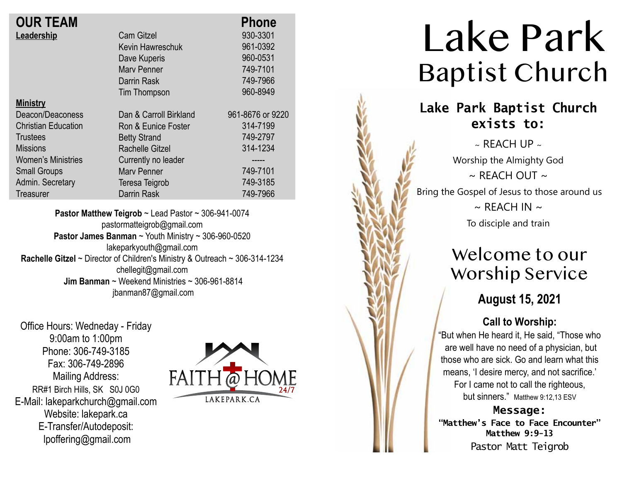| <b>OUR TEAM</b>            |                        | <b>Phone</b>     |
|----------------------------|------------------------|------------------|
| Leadership                 | <b>Cam Gitzel</b>      | 930-3301         |
|                            | Kevin Hawreschuk       | 961-0392         |
|                            | Dave Kuperis           | 960-0531         |
|                            | <b>Mary Penner</b>     | 749-7101         |
|                            | Darrin Rask            | 749-7966         |
|                            | Tim Thompson           | 960-8949         |
| <b>Ministry</b>            |                        |                  |
| Deacon/Deaconess           | Dan & Carroll Birkland | 961-8676 or 9220 |
| <b>Christian Education</b> | Ron & Eunice Foster    | 314-7199         |
| <b>Trustees</b>            | <b>Betty Strand</b>    | 749-2797         |
| <b>Missions</b>            | Rachelle Gitzel        | 314-1234         |
| <b>Women's Ministries</b>  | Currently no leader    | ------           |
| <b>Small Groups</b>        | <b>Mary Penner</b>     | 749-7101         |
| Admin. Secretary           | Teresa Teigrob         | 749-3185         |
| <b>Treasurer</b>           | <b>Darrin Rask</b>     | 749-7966         |
|                            |                        |                  |

**Pastor Matthew Teigrob** ~ Lead Pastor ~ 306-941-0074 pastormatteigrob@gmail.com **Pastor James Banman** ~ Youth Ministry ~ 306-960-0520 lakeparkyouth@gmail.com **Rachelle Gitzel** ~ Director of Children's Ministry & Outreach ~ 306-314-1234 chellegit@gmail.com  **Jim Banman** ~ Weekend Ministries ~ 306-961-8814 jbanman87@gmail.com

Office Hours: Wedneday - Friday 9:00am to 1:00pm Phone: 306-749-3185 Fax: 306-749-2896 Mailing Address: RR#1 Birch Hills, SK S0J 0G0 E-Mail: lakeparkchurch@gmail.com Website: lakepark.ca E-Transfer/Autodeposit: lpoffering@gmail.com



# Lake Park Baptist Church

### **Lake Park Baptist Church exists to:**

 $\sim$  REACH UP  $\sim$ Worship the Almighty God  $\sim$  RFACH OUT  $\sim$ Bring the Gospel of Jesus to those around us  $\sim$  REACH IN  $\sim$ To disciple and train

## Welcome to our Worship Service

**August 15, 2021**

### **Call to Worship:**

"But when He heard it, He said, "Those who are well have no need of a physician, but those who are sick. Go and learn what this means, 'I desire mercy, and not sacrifice.' For I came not to call the righteous, but sinners." Matthew 9:12,13 ESV

**Message: "Matthew's Face to Face Encounter" Matthew 9:9-13** Pastor Matt Teigrob